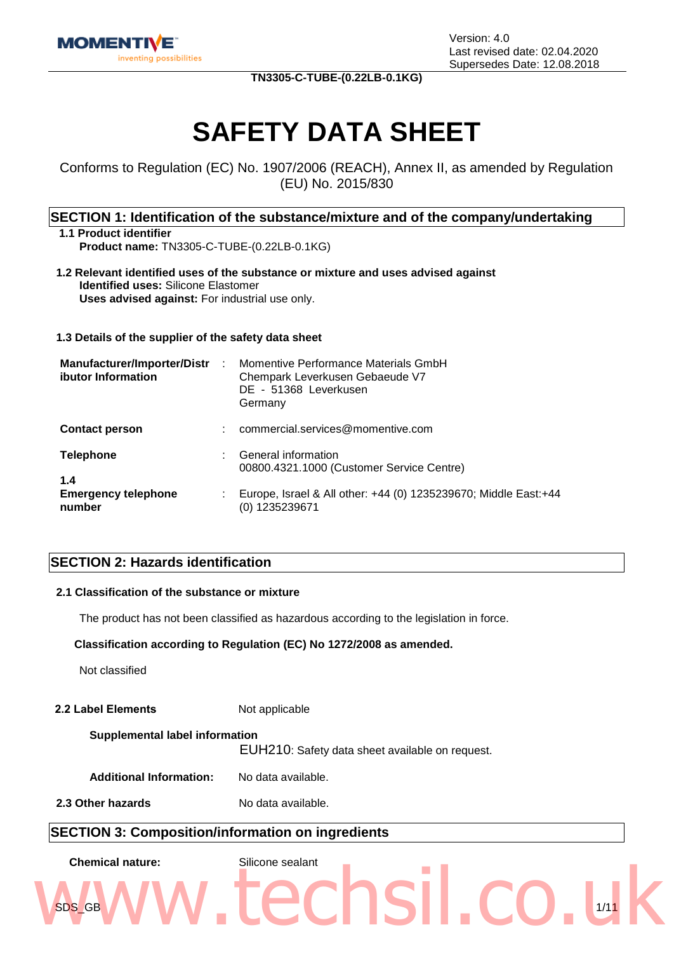

Version: 4.0 Last revised date: 02.04.2020 Supersedes Date: 12.08.2018

**TN3305-C-TUBE-(0.22LB-0.1KG)**

# **SAFETY DATA SHEET**

Conforms to Regulation (EC) No. 1907/2006 (REACH), Annex II, as amended by Regulation (EU) No. 2015/830

#### **SECTION 1: Identification of the substance/mixture and of the company/undertaking**

**1.1 Product identifier Product name:** TN3305-C-TUBE-(0.22LB-0.1KG)

**1.2 Relevant identified uses of the substance or mixture and uses advised against Identified uses:** Silicone Elastomer **Uses advised against:** For industrial use only.

**1.3 Details of the supplier of the safety data sheet**

| <b>Manufacturer/Importer/Distr</b><br>ibutor Information | -11 | Momentive Performance Materials GmbH<br>Chempark Leverkusen Gebaeude V7<br>DE - 51368 Leverkusen<br>Germany |
|----------------------------------------------------------|-----|-------------------------------------------------------------------------------------------------------------|
| <b>Contact person</b>                                    |     | commercial.services@momentive.com                                                                           |
| <b>Telephone</b><br>1.4                                  |     | General information<br>00800.4321.1000 (Customer Service Centre)                                            |
| <b>Emergency telephone</b><br>number                     |     | Europe, Israel & All other: +44 (0) 1235239670; Middle East: +44<br>(0) 1235239671                          |

#### **SECTION 2: Hazards identification**

#### **2.1 Classification of the substance or mixture**

The product has not been classified as hazardous according to the legislation in force.

#### **Classification according to Regulation (EC) No 1272/2008 as amended.**

Not classified

#### **2.2 Label Elements** Not applicable

#### **Supplemental label information**

EUH210: Safety data sheet available on request.

**Additional Information:** No data available.

**2.3 Other hazards** No data available.

#### **SECTION 3: Composition/information on ingredients**

**Chemical nature:** Silicone sealant

# $SDS_GGB$  1/11  $\blacksquare$  1/11 www.techsil.co.uk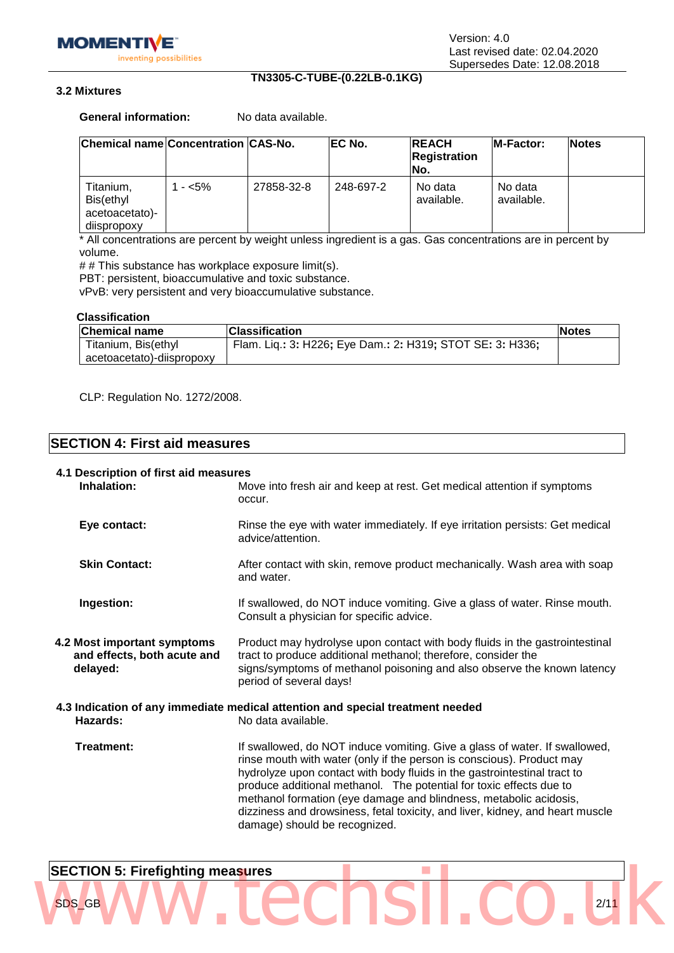**MOMENT** inventing possibilities Version: 4.0 Last revised date: 02.04.2020 Supersedes Date: 12.08.2018

#### **TN3305-C-TUBE-(0.22LB-0.1KG)**

#### **3.2 Mixtures**

**General information:** No data available.

| Chemical name Concentration CAS-No.                    |            |            | IEC No.   | <b>IREACH</b><br><b>Registration</b><br>INo. | <b>IM-Factor:</b>     | <b>Notes</b> |
|--------------------------------------------------------|------------|------------|-----------|----------------------------------------------|-----------------------|--------------|
| Titanium,<br>Bis(ethyl<br>acetoacetato)-<br>dispropoxy | 1 - $<$ 5% | 27858-32-8 | 248-697-2 | No data<br>available.                        | No data<br>available. |              |

\* All concentrations are percent by weight unless ingredient is a gas. Gas concentrations are in percent by volume.

# # This substance has workplace exposure limit(s).

PBT: persistent, bioaccumulative and toxic substance.

vPvB: very persistent and very bioaccumulative substance.

#### **Classification**

| <b>Chemical name</b>      | <b>Classification</b>                                     | <b>Notes</b> |
|---------------------------|-----------------------------------------------------------|--------------|
| Titanium, Bis(ethyl       | Flam. Liq.: 3: H226; Eye Dam.: 2: H319; STOT SE: 3: H336; |              |
| acetoacetato)-diispropoxy |                                                           |              |

CLP: Regulation No. 1272/2008.

#### **SECTION 4: First aid measures**

#### **4.1 Description of first aid measures**

**Inhalation:** Move into fresh air and keep at rest. Get medical attention if symptoms occur. **Eye contact:** Rinse the eye with water immediately. If eye irritation persists: Get medical advice/attention. **Skin Contact:** After contact with skin, remove product mechanically. Wash area with soap and water. Ingestion: **Ingestion:** If swallowed, do NOT induce vomiting. Give a glass of water. Rinse mouth. Consult a physician for specific advice. **4.2 Most important symptoms and effects, both acute and delayed:** Product may hydrolyse upon contact with body fluids in the gastrointestinal tract to produce additional methanol; therefore, consider the signs/symptoms of methanol poisoning and also observe the known latency period of several days! **4.3 Indication of any immediate medical attention and special treatment needed Hazards:** No data available. **Treatment:** If swallowed, do NOT induce vomiting. Give a glass of water. If swallowed, rinse mouth with water (only if the person is conscious). Product may

 $SDS_GGB$  and  $N$  and  $N$  and  $N$  and  $N$  and  $N$  and  $N$  and  $N$  and  $N$  and  $N$  and  $N$  and  $N$  and  $N$  and  $N$  and  $N$  and  $N$  and  $N$  and  $N$  and  $N$  and  $N$  and  $N$  and  $N$  and  $N$  and  $N$  and  $N$  and  $N$  and  $N$  and  $N$ 

hydrolyze upon contact with body fluids in the gastrointestinal tract to produce additional methanol. The potential for toxic effects due to methanol formation (eye damage and blindness, metabolic acidosis, dizziness and drowsiness, fetal toxicity, and liver, kidney, and heart muscle damage) should be recognized.

# **SECTION 5: Firefighting measures** SECTION 5: Firefighting measures<br>
SDS\_GB<br>
W.CCCISI.CO.U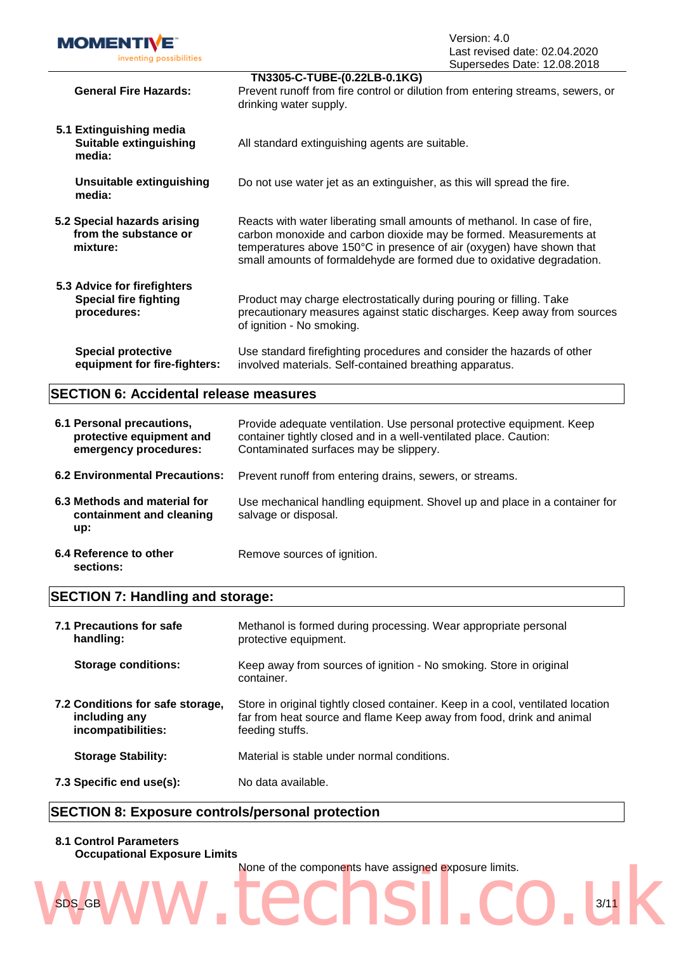| <b>MOMENTIVE</b>                                                           | Version: 4.0                                                                                                                                                                                                                                                                                    |
|----------------------------------------------------------------------------|-------------------------------------------------------------------------------------------------------------------------------------------------------------------------------------------------------------------------------------------------------------------------------------------------|
|                                                                            | Last revised date: 02.04.2020                                                                                                                                                                                                                                                                   |
| inventing possibilities                                                    | Supersedes Date: 12.08.2018                                                                                                                                                                                                                                                                     |
|                                                                            | TN3305-C-TUBE-(0.22LB-0.1KG)                                                                                                                                                                                                                                                                    |
| <b>General Fire Hazards:</b>                                               | Prevent runoff from fire control or dilution from entering streams, sewers, or<br>drinking water supply.                                                                                                                                                                                        |
| 5.1 Extinguishing media<br><b>Suitable extinguishing</b><br>media:         | All standard extinguishing agents are suitable.                                                                                                                                                                                                                                                 |
| <b>Unsuitable extinguishing</b><br>media:                                  | Do not use water jet as an extinguisher, as this will spread the fire.                                                                                                                                                                                                                          |
| 5.2 Special hazards arising<br>from the substance or<br>mixture:           | Reacts with water liberating small amounts of methanol. In case of fire,<br>carbon monoxide and carbon dioxide may be formed. Measurements at<br>temperatures above 150°C in presence of air (oxygen) have shown that<br>small amounts of formaldehyde are formed due to oxidative degradation. |
| 5.3 Advice for firefighters<br><b>Special fire fighting</b><br>procedures: | Product may charge electrostatically during pouring or filling. Take<br>precautionary measures against static discharges. Keep away from sources<br>of ignition - No smoking.                                                                                                                   |
| <b>Special protective</b><br>equipment for fire-fighters:                  | Use standard firefighting procedures and consider the hazards of other<br>involved materials. Self-contained breathing apparatus.                                                                                                                                                               |

### **SECTION 6: Accidental release measures**

| 6.1 Personal precautions,<br>protective equipment and<br>emergency procedures: | Provide adequate ventilation. Use personal protective equipment. Keep<br>container tightly closed and in a well-ventilated place. Caution:<br>Contaminated surfaces may be slippery. |
|--------------------------------------------------------------------------------|--------------------------------------------------------------------------------------------------------------------------------------------------------------------------------------|
| <b>6.2 Environmental Precautions:</b>                                          | Prevent runoff from entering drains, sewers, or streams.                                                                                                                             |
| 6.3 Methods and material for<br>containment and cleaning<br>up:                | Use mechanical handling equipment. Shovel up and place in a container for<br>salvage or disposal.                                                                                    |
| 6.4 Reference to other<br>sections:                                            | Remove sources of ignition.                                                                                                                                                          |

# **SECTION 7: Handling and storage:**

| 7.1 Precautions for safe<br>handling:                                   | Methanol is formed during processing. Wear appropriate personal<br>protective equipment.                                                                                   |
|-------------------------------------------------------------------------|----------------------------------------------------------------------------------------------------------------------------------------------------------------------------|
| <b>Storage conditions:</b>                                              | Keep away from sources of ignition - No smoking. Store in original<br>container.                                                                                           |
| 7.2 Conditions for safe storage,<br>including any<br>incompatibilities: | Store in original tightly closed container. Keep in a cool, ventilated location<br>far from heat source and flame Keep away from food, drink and animal<br>feeding stuffs. |
| <b>Storage Stability:</b>                                               | Material is stable under normal conditions.                                                                                                                                |
| 7.3 Specific end use(s):                                                | No data available.                                                                                                                                                         |

### **SECTION 8: Exposure controls/personal protection**

#### **8.1 Control Parameters Occupational Exposure Limits**

None of the components have assigned exposure limits.

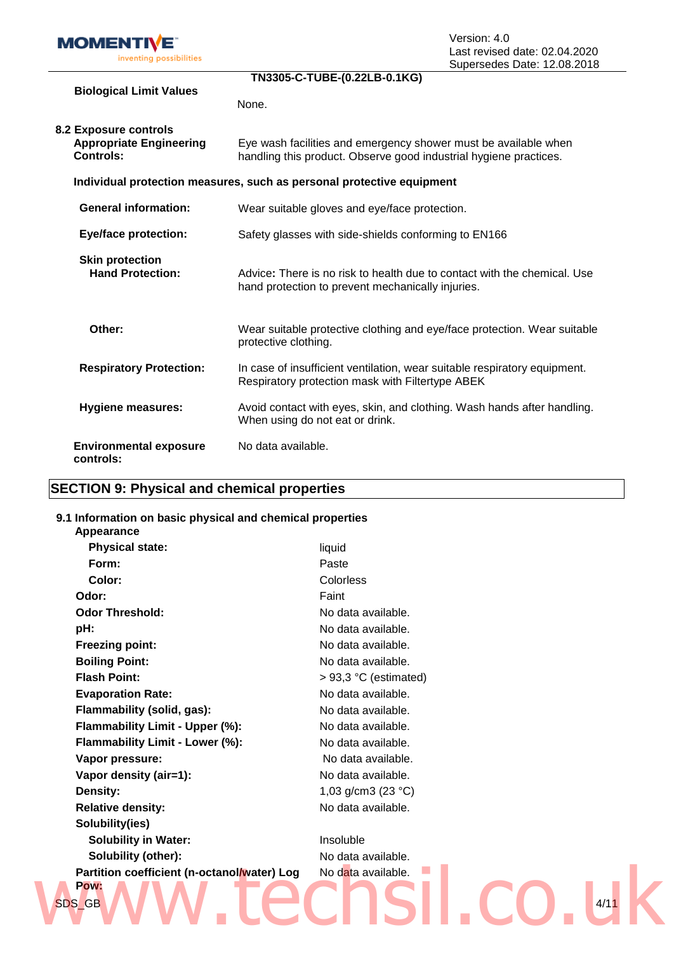| <b>MOMENTIVE</b>        |  |
|-------------------------|--|
| inventing possibilities |  |

|                                                                             | Supersedes Date: 12.08.2018                                                                                                          |
|-----------------------------------------------------------------------------|--------------------------------------------------------------------------------------------------------------------------------------|
|                                                                             | TN3305-C-TUBE-(0.22LB-0.1KG)                                                                                                         |
| <b>Biological Limit Values</b>                                              | None.                                                                                                                                |
| 8.2 Exposure controls<br><b>Appropriate Engineering</b><br><b>Controls:</b> | Eye wash facilities and emergency shower must be available when<br>handling this product. Observe good industrial hygiene practices. |
|                                                                             | Individual protection measures, such as personal protective equipment                                                                |
| <b>General information:</b>                                                 | Wear suitable gloves and eye/face protection.                                                                                        |
| <b>Eye/face protection:</b>                                                 | Safety glasses with side-shields conforming to EN166                                                                                 |
| <b>Skin protection</b><br><b>Hand Protection:</b>                           | Advice: There is no risk to health due to contact with the chemical. Use<br>hand protection to prevent mechanically injuries.        |
| Other:                                                                      | Wear suitable protective clothing and eye/face protection. Wear suitable<br>protective clothing.                                     |
| <b>Respiratory Protection:</b>                                              | In case of insufficient ventilation, wear suitable respiratory equipment.<br>Respiratory protection mask with Filtertype ABEK        |
| <b>Hygiene measures:</b>                                                    | Avoid contact with eyes, skin, and clothing. Wash hands after handling.<br>When using do not eat or drink.                           |
| <b>Environmental exposure</b><br>controls:                                  | No data available.                                                                                                                   |

# **SECTION 9: Physical and chemical properties**

#### **9.1 Information on basic physical and chemical properties**

| Appearance                                  |                              |
|---------------------------------------------|------------------------------|
| <b>Physical state:</b>                      | liquid                       |
| Form:                                       | Paste                        |
| Color:                                      | Colorless                    |
| Odor:                                       | Faint                        |
| <b>Odor Threshold:</b>                      | No data available.           |
| pH:                                         | No data available.           |
| <b>Freezing point:</b>                      | No data available.           |
| <b>Boiling Point:</b>                       | No data available.           |
| <b>Flash Point:</b>                         | $> 93.3$ °C (estimated)      |
| <b>Evaporation Rate:</b>                    | No data available.           |
| Flammability (solid, gas):                  | No data available.           |
| Flammability Limit - Upper (%):             | No data available.           |
| Flammability Limit - Lower (%):             | No data available.           |
| Vapor pressure:                             | No data available.           |
| Vapor density (air=1):                      | No data available.           |
| Density:                                    | 1,03 g/cm3 (23 $^{\circ}$ C) |
| <b>Relative density:</b>                    | No data available.           |
| Solubility(ies)                             |                              |
| <b>Solubility in Water:</b>                 | Insoluble                    |
| Solubility (other):                         | No data available.           |
| Partition coefficient (n-octanol/water) Log | No data available.           |
| Pow:<br>SDS_GB                              | 4/11                         |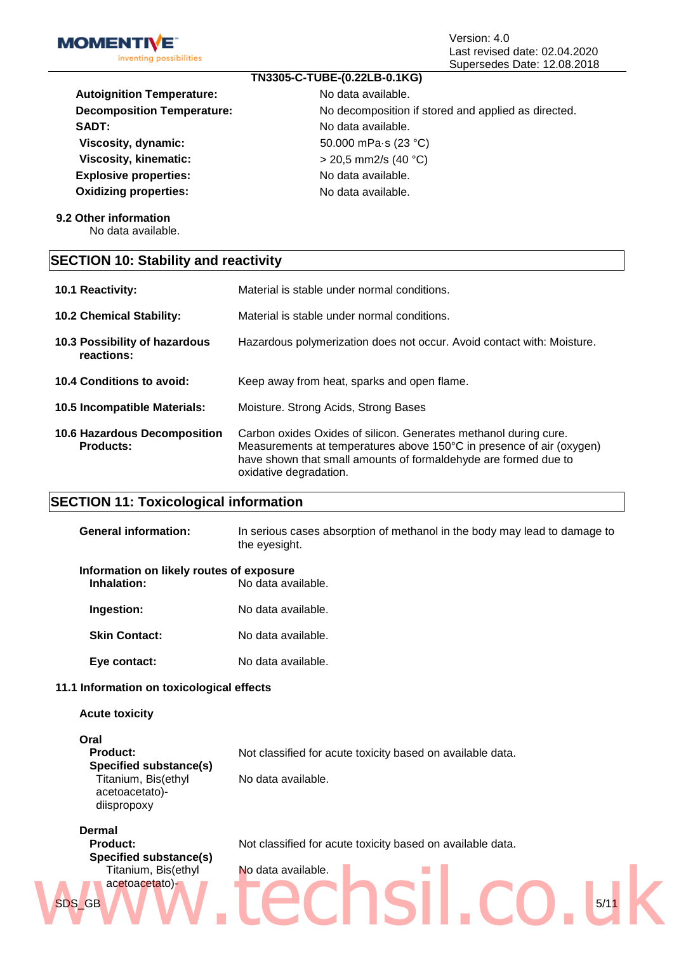

#### **TN3305-C-TUBE-(0.22LB-0.1KG)**

**Autoignition Temperature:** No data available. SADT: No data available. **Viscosity, dynamic:** 50.000 mPa·s (23 °C) **Viscosity, kinematic:**  $>$  20,5 mm2/s (40 °C) **Explosive properties:** No data available. **Oxidizing properties:** No data available.

**Decomposition Temperature:** No decomposition if stored and applied as directed.

**9.2 Other information**

No data available.

#### **SECTION 10: Stability and reactivity**

| <b>10.1 Reactivity:</b>                                 | Material is stable under normal conditions.                                                                                                                                                                                           |
|---------------------------------------------------------|---------------------------------------------------------------------------------------------------------------------------------------------------------------------------------------------------------------------------------------|
| <b>10.2 Chemical Stability:</b>                         | Material is stable under normal conditions.                                                                                                                                                                                           |
| 10.3 Possibility of hazardous<br>reactions:             | Hazardous polymerization does not occur. Avoid contact with: Moisture.                                                                                                                                                                |
| 10.4 Conditions to avoid:                               | Keep away from heat, sparks and open flame.                                                                                                                                                                                           |
| 10.5 Incompatible Materials:                            | Moisture. Strong Acids, Strong Bases                                                                                                                                                                                                  |
| <b>10.6 Hazardous Decomposition</b><br><b>Products:</b> | Carbon oxides Oxides of silicon. Generates methanol during cure.<br>Measurements at temperatures above 150°C in presence of air (oxygen)<br>have shown that small amounts of formaldehyde are formed due to<br>oxidative degradation. |

#### **SECTION 11: Toxicological information**

| <b>General information:</b>                             | In serious cases absorption of methanol in the body may lead to damage to<br>the eyesight. |
|---------------------------------------------------------|--------------------------------------------------------------------------------------------|
| Information on likely routes of exposure<br>Inhalation: | No data available.                                                                         |
| Ingestion:                                              | No data available.                                                                         |
| <b>Skin Contact:</b>                                    | No data available.                                                                         |
| Eye contact:                                            | No data available.                                                                         |

#### **11.1 Information on toxicological effects**

**Specified substance(s)** Titanium, Bis(ethyl acetoacetato)-

#### **Acute toxicity**

| Oral<br>Product:<br>Specified substance(s)<br>Titanium, Bis(ethyl<br>acetoacetato)-<br>dispropoxy | Not classified for acute toxicity based on available data.<br>No data available. |
|---------------------------------------------------------------------------------------------------|----------------------------------------------------------------------------------|
| Dermal<br><b>Product:</b>                                                                         | Not classified for acute toxicity based on available data.                       |

 $SDS_GGB$  and  $N$  and  $N$  is the set of  $S/11$ 

No data available. Titanium, Bis(ethyl No data available.<br>
SDS\_GB<br>
WWW.TECCISI CO.U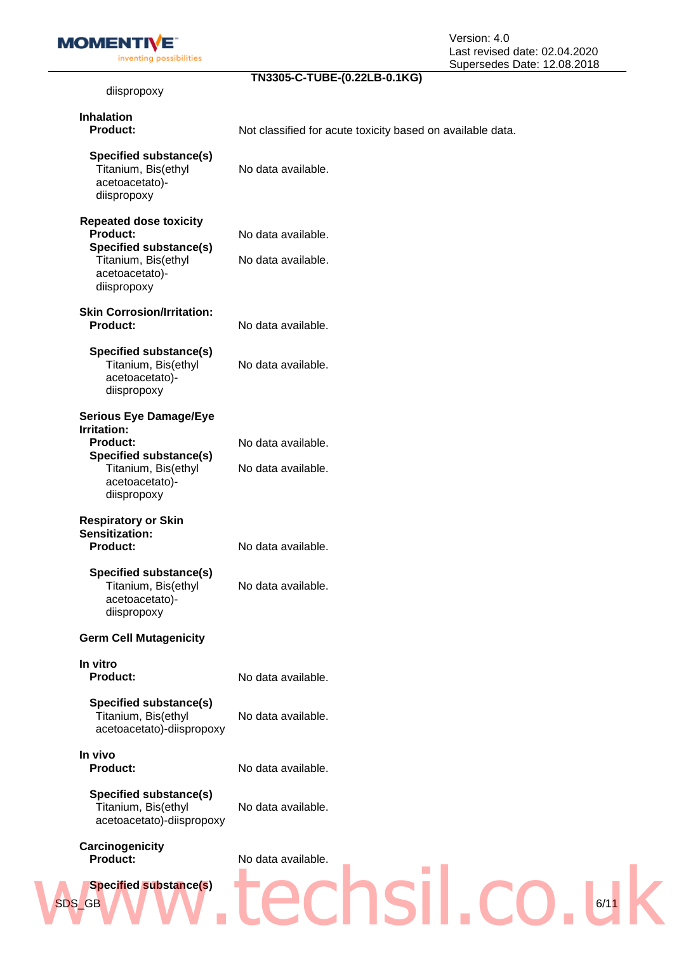**MOMENTIVE** 

inventing possibilities

### **TN3305-C-TUBE-(0.22LB-0.1KG)**

| diispropoxy                                                                                                                                                     |                                                            |
|-----------------------------------------------------------------------------------------------------------------------------------------------------------------|------------------------------------------------------------|
| <b>Inhalation</b><br><b>Product:</b>                                                                                                                            | Not classified for acute toxicity based on available data. |
| <b>Specified substance(s)</b><br>Titanium, Bis(ethyl<br>acetoacetato)-<br>diispropoxy                                                                           | No data available.                                         |
| <b>Repeated dose toxicity</b><br><b>Product:</b><br><b>Specified substance(s)</b><br>Titanium, Bis(ethyl<br>acetoacetato)-<br>diispropoxy                       | No data available.<br>No data available.                   |
| <b>Skin Corrosion/Irritation:</b><br><b>Product:</b>                                                                                                            | No data available.                                         |
| <b>Specified substance(s)</b><br>Titanium, Bis(ethyl<br>acetoacetato)-<br>diispropoxy                                                                           | No data available.                                         |
| <b>Serious Eye Damage/Eye</b><br><b>Irritation:</b><br><b>Product:</b><br><b>Specified substance(s)</b><br>Titanium, Bis(ethyl<br>acetoacetato)-<br>diispropoxy | No data available.<br>No data available.                   |
| <b>Respiratory or Skin</b><br><b>Sensitization:</b><br><b>Product:</b>                                                                                          | No data available.                                         |
| <b>Specified substance(s)</b><br>Titanium, Bis(ethyl<br>acetoacetato)-<br>diispropoxy                                                                           | No data available.                                         |
| <b>Germ Cell Mutagenicity</b>                                                                                                                                   |                                                            |
| In vitro<br><b>Product:</b>                                                                                                                                     | No data available.                                         |
| <b>Specified substance(s)</b><br>Titanium, Bis(ethyl<br>acetoacetato)-diispropoxy                                                                               | No data available.                                         |
| In vivo<br><b>Product:</b>                                                                                                                                      | No data available.                                         |
| <b>Specified substance(s)</b><br>Titanium, Bis(ethyl<br>acetoacetato)-diispropoxy                                                                               | No data available.                                         |
| Carcinogenicity<br><b>Product:</b>                                                                                                                              | No data available.                                         |
| <b>Specified substance(s)</b><br>SDS_GB                                                                                                                         | 6/11                                                       |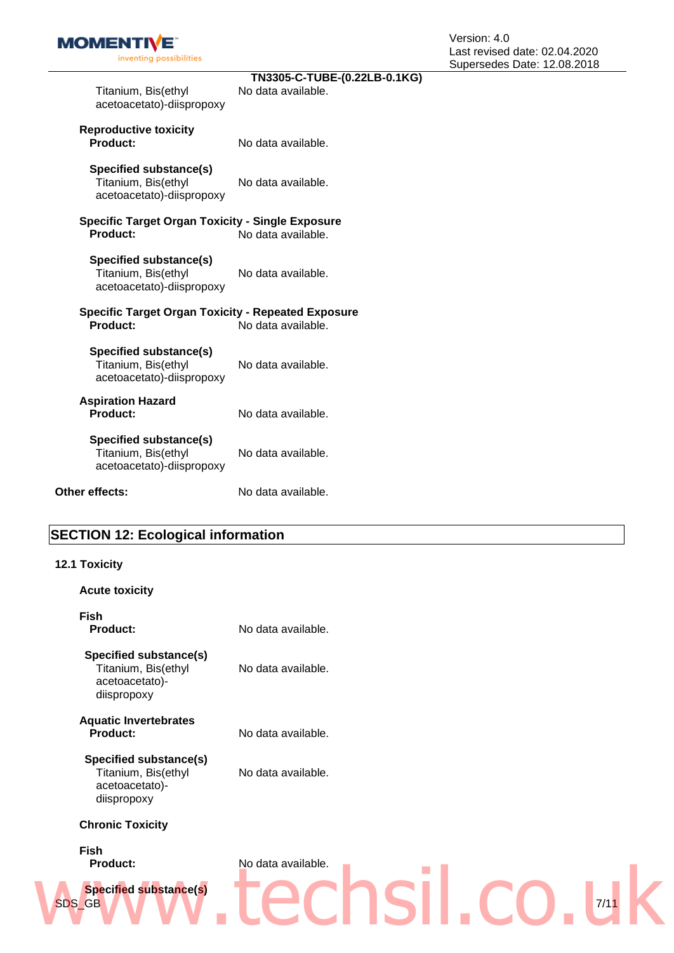**MOMENTIVE** inventing possibilities

| Titanium, Bis(ethyl<br>acetoacetato)-diispropoxy                             | TN3305-C-TUBE-(0.22LB-0.1KG)<br>No data available. |
|------------------------------------------------------------------------------|----------------------------------------------------|
| <b>Reproductive toxicity</b><br><b>Product:</b>                              | No data available.                                 |
| Specified substance(s)<br>Titanium, Bis(ethyl<br>acetoacetato)-diispropoxy   | No data available.                                 |
| <b>Specific Target Organ Toxicity - Single Exposure</b><br>Product:          | No data available.                                 |
| Specified substance(s)<br>Titanium, Bis(ethyl<br>acetoacetato)-diispropoxy   | No data available.                                 |
| <b>Specific Target Organ Toxicity - Repeated Exposure</b><br><b>Product:</b> | No data available.                                 |
| Specified substance(s)<br>Titanium, Bis(ethyl<br>acetoacetato)-diispropoxy   | No data available.                                 |
| <b>Aspiration Hazard</b><br><b>Product:</b>                                  | No data available.                                 |
| Specified substance(s)<br>Titanium, Bis(ethyl<br>acetoacetato)-diispropoxy   | No data available.                                 |
| Other effects:                                                               | No data available.                                 |

# **SECTION 12: Ecological information**

#### **12.1 Toxicity**

| <b>Acute toxicity</b>                                                                 |                    |  |
|---------------------------------------------------------------------------------------|--------------------|--|
| <b>Fish</b><br><b>Product:</b>                                                        | No data available. |  |
| Specified substance(s)<br>Titanium, Bis(ethyl<br>acetoacetato)-<br>diispropoxy        | No data available. |  |
| <b>Aquatic Invertebrates</b><br><b>Product:</b>                                       | No data available. |  |
| <b>Specified substance(s)</b><br>Titanium, Bis(ethyl<br>acetoacetato)-<br>diispropoxy | No data available. |  |
| <b>Chronic Toxicity</b>                                                               |                    |  |
| <b>Fish</b><br><b>Product:</b>                                                        | No data available. |  |
| <b>Specified substance(s)</b><br>SDS_GB                                               | 7/11               |  |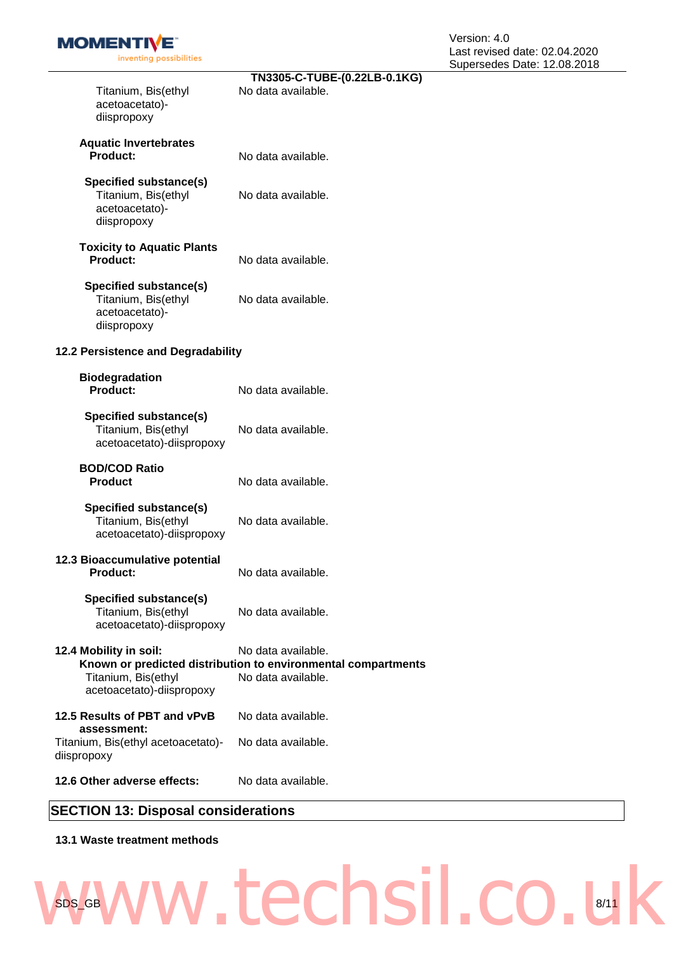**MOMENTIVE** inventing possibilities

| Titanium, Bis(ethyl<br>acetoacetato)-<br>diispropoxy                                  | TN3305-C-TUBE-(0.22LB-0.1KG)<br>No data available.                                                        |
|---------------------------------------------------------------------------------------|-----------------------------------------------------------------------------------------------------------|
| <b>Aquatic Invertebrates</b><br><b>Product:</b>                                       | No data available.                                                                                        |
| <b>Specified substance(s)</b><br>Titanium, Bis(ethyl<br>acetoacetato)-<br>diispropoxy | No data available.                                                                                        |
| <b>Toxicity to Aquatic Plants</b><br><b>Product:</b>                                  | No data available.                                                                                        |
| Specified substance(s)<br>Titanium, Bis(ethyl<br>acetoacetato)-<br>diispropoxy        | No data available.                                                                                        |
| 12.2 Persistence and Degradability                                                    |                                                                                                           |
| <b>Biodegradation</b><br><b>Product:</b>                                              | No data available.                                                                                        |
| Specified substance(s)<br>Titanium, Bis(ethyl<br>acetoacetato)-diispropoxy            | No data available.                                                                                        |
| <b>BOD/COD Ratio</b><br><b>Product</b>                                                | No data available.                                                                                        |
| Specified substance(s)<br>Titanium, Bis(ethyl<br>acetoacetato)-diispropoxy            | No data available.                                                                                        |
| 12.3 Bioaccumulative potential<br>Product:                                            | No data available                                                                                         |
| Specified substance(s)<br>Titanium, Bis(ethyl<br>acetoacetato)-diispropoxy            | No data available.                                                                                        |
| 12.4 Mobility in soil:<br>Titanium, Bis(ethyl<br>acetoacetato)-diispropoxy            | No data available.<br>Known or predicted distribution to environmental compartments<br>No data available. |
| 12.5 Results of PBT and vPvB                                                          | No data available.                                                                                        |
| assessment:<br>Titanium, Bis(ethyl acetoacetato)-<br>diispropoxy                      | No data available.                                                                                        |
| 12.6 Other adverse effects:                                                           | No data available.                                                                                        |
|                                                                                       |                                                                                                           |

#### **SECTION 13: Disposal considerations**

#### **13.1 Waste treatment methods**

# $SDS_GGB$  and  $N$  and  $N$  and  $N$  and  $N$  and  $N$  and  $N$  and  $N$  and  $N$  and  $N$  and  $N$  and  $N$  and  $N$  and  $N$  and  $N$  and  $N$  and  $N$  and  $N$  and  $N$  and  $N$  and  $N$  and  $N$  and  $N$  and  $N$  and  $N$  and  $N$  and  $N$  and  $N$ www.techsil.co.uk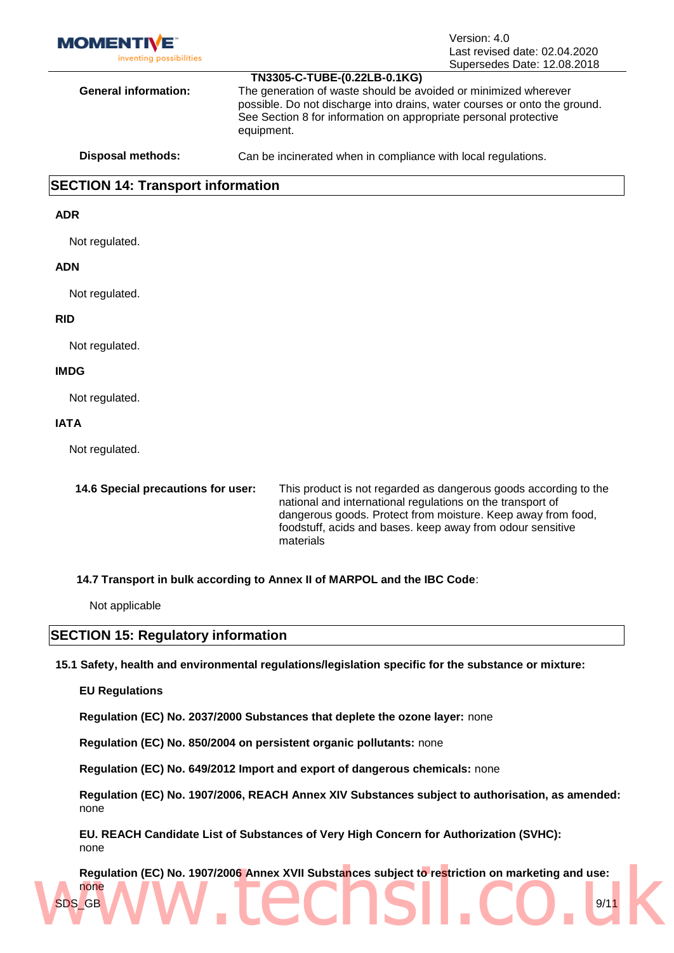

#### **SECTION 14: Transport information**

#### **ADR**

Not regulated.

#### **ADN**

Not regulated.

#### **RID**

Not regulated.

#### **IMDG**

Not regulated.

#### **IATA**

Not regulated.

| 14.6 Special precautions for user: | This product is not regarded as dangerous goods according to the<br>national and international regulations on the transport of<br>dangerous goods. Protect from moisture. Keep away from food,<br>foodstuff, acids and bases. keep away from odour sensitive<br>materials |
|------------------------------------|---------------------------------------------------------------------------------------------------------------------------------------------------------------------------------------------------------------------------------------------------------------------------|
|                                    |                                                                                                                                                                                                                                                                           |

**14.7 Transport in bulk according to Annex II of MARPOL and the IBC Code**:

Not applicable

#### **SECTION 15: Regulatory information**

**15.1 Safety, health and environmental regulations/legislation specific for the substance or mixture:**

#### **EU Regulations**

**Regulation (EC) No. 2037/2000 Substances that deplete the ozone layer:** none

**Regulation (EC) No. 850/2004 on persistent organic pollutants:** none

**Regulation (EC) No. 649/2012 Import and export of dangerous chemicals:** none

**Regulation (EC) No. 1907/2006, REACH Annex XIV Substances subject to authorisation, as amended:**  none

**EU. REACH Candidate List of Substances of Very High Concern for Authorization (SVHC):**  none

**Regulation (EC) No. 1907/2006 Annex XVII Substances subject to restriction on marketing and use:**  none www.techsil.co.uk

 $SDS_GGB$  and  $N$  and  $N$  and  $N$  and  $N$  and  $N$  and  $N$  and  $N$  and  $N$  and  $N$  and  $N$  and  $N$  and  $N$  and  $N$  and  $N$  and  $N$  and  $N$  and  $N$  and  $N$  and  $N$  and  $N$  and  $N$  and  $N$  and  $N$  and  $N$  and  $N$  and  $N$  and  $N$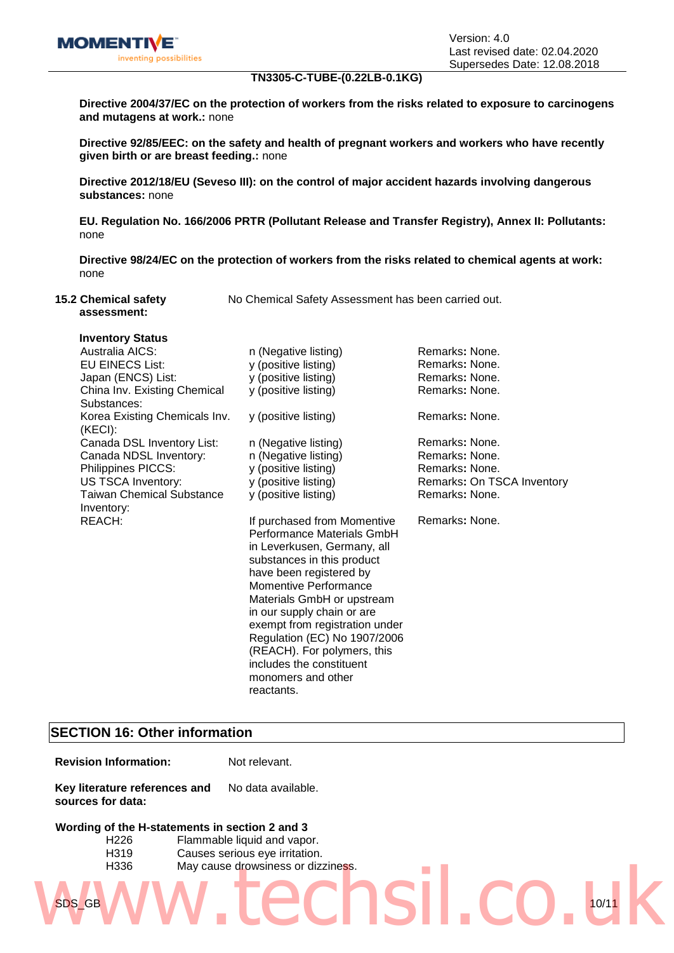#### **TN3305-C-TUBE-(0.22LB-0.1KG)**

**Directive 2004/37/EC on the protection of workers from the risks related to exposure to carcinogens and mutagens at work.:** none

**Directive 92/85/EEC: on the safety and health of pregnant workers and workers who have recently given birth or are breast feeding.:** none

**Directive 2012/18/EU (Seveso III): on the control of major accident hazards involving dangerous substances:** none

**EU. Regulation No. 166/2006 PRTR (Pollutant Release and Transfer Registry), Annex II: Pollutants:**  none

**Directive 98/24/EC on the protection of workers from the risks related to chemical agents at work:**  none

**15.2 Chemical safety assessment:**

**Inventory Status**

No Chemical Safety Assessment has been carried out.

| <b>Illy ellioly</b> Status               |                                                                                                                                                                                                                                                                                                                                                                                                         |                            |
|------------------------------------------|---------------------------------------------------------------------------------------------------------------------------------------------------------------------------------------------------------------------------------------------------------------------------------------------------------------------------------------------------------------------------------------------------------|----------------------------|
| Australia AICS:                          | n (Negative listing)                                                                                                                                                                                                                                                                                                                                                                                    | Remarks: None.             |
| <b>EU EINECS List:</b>                   | y (positive listing)                                                                                                                                                                                                                                                                                                                                                                                    | Remarks: None.             |
| Japan (ENCS) List:                       | y (positive listing)                                                                                                                                                                                                                                                                                                                                                                                    | Remarks: None.             |
| China Inv. Existing Chemical             | y (positive listing)                                                                                                                                                                                                                                                                                                                                                                                    | Remarks: None.             |
| Substances:                              |                                                                                                                                                                                                                                                                                                                                                                                                         |                            |
| Korea Existing Chemicals Inv.<br>(KECI): | y (positive listing)                                                                                                                                                                                                                                                                                                                                                                                    | Remarks: None.             |
| Canada DSL Inventory List:               | n (Negative listing)                                                                                                                                                                                                                                                                                                                                                                                    | Remarks: None.             |
| Canada NDSL Inventory:                   | n (Negative listing)                                                                                                                                                                                                                                                                                                                                                                                    | Remarks: None.             |
| Philippines PICCS:                       | y (positive listing)                                                                                                                                                                                                                                                                                                                                                                                    | Remarks: None.             |
| US TSCA Inventory:                       | y (positive listing)                                                                                                                                                                                                                                                                                                                                                                                    | Remarks: On TSCA Inventory |
| <b>Taiwan Chemical Substance</b>         | y (positive listing)                                                                                                                                                                                                                                                                                                                                                                                    | Remarks: None.             |
| Inventory:                               |                                                                                                                                                                                                                                                                                                                                                                                                         |                            |
| REACH:                                   | If purchased from Momentive<br>Performance Materials GmbH<br>in Leverkusen, Germany, all<br>substances in this product<br>have been registered by<br>Momentive Performance<br>Materials GmbH or upstream<br>in our supply chain or are<br>exempt from registration under<br>Regulation (EC) No 1907/2006<br>(REACH). For polymers, this<br>includes the constituent<br>monomers and other<br>reactants. | Remarks: None.             |

#### **SECTION 16: Other information**

| <b>Revision Information:</b>                       | Not relevant.      |
|----------------------------------------------------|--------------------|
| Key literature references and<br>sources for data: | No data available. |

#### **Wording of the H-statements in section 2 and 3**

| . .<br>H <sub>226</sub><br>H319<br>H336 | Flammable liquid and vapor.<br>Causes serious eye irritation.<br>May cause drowsiness or dizziness. |
|-----------------------------------------|-----------------------------------------------------------------------------------------------------|
| <b>SDS GB</b>                           | 10/1 <sup>1</sup>                                                                                   |